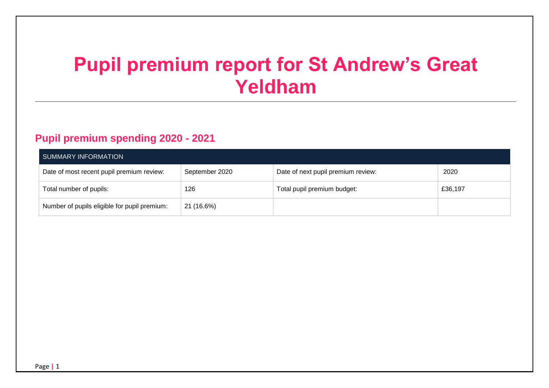# **Pupil premium report for St Andrew's Great Yeldham**

### **Pupil premium spending 2020 - 2021**

| SUMMARY INFORMATION                          |                |                                    |         |  |
|----------------------------------------------|----------------|------------------------------------|---------|--|
| Date of most recent pupil premium review:    | September 2020 | Date of next pupil premium review: | 2020    |  |
| Total number of pupils:                      | 126            | Total pupil premium budget:        | £36,197 |  |
| Number of pupils eligible for pupil premium: | 21 (16.6%)     |                                    |         |  |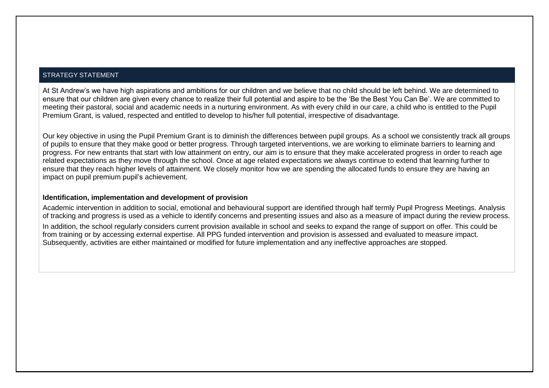#### STRATEGY STATEMENT

At St Andrew's we have high aspirations and ambitions for our children and we believe that no child should be left behind. We are determined to ensure that our children are given every chance to realize their full potential and aspire to be the 'Be the Best You Can Be'. We are committed to meeting their pastoral, social and academic needs in a nurturing environment. As with every child in our care, a child who is entitled to the Pupil Premium Grant, is valued, respected and entitled to develop to his/her full potential, irrespective of disadvantage.

Our key objective in using the Pupil Premium Grant is to diminish the differences between pupil groups. As a school we consistently track all groups of pupils to ensure that they make good or better progress. Through targeted interventions, we are working to eliminate barriers to learning and progress. For new entrants that start with low attainment on entry, our aim is to ensure that they make accelerated progress in order to reach age related expectations as they move through the school. Once at age related expectations we always continue to extend that learning further to ensure that they reach higher levels of attainment. We closely monitor how we are spending the allocated funds to ensure they are having an impact on pupil premium pupil's achievement.

#### **Identification, implementation and development of provision**

Academic intervention in addition to social, emotional and behavioural support are identified through half termly Pupil Progress Meetings. Analysis of tracking and progress is used as a vehicle to identify concerns and presenting issues and also as a measure of impact during the review process.

In addition, the school regularly considers current provision available in school and seeks to expand the range of support on offer. This could be from training or by accessing external expertise. All PPG funded intervention and provision is assessed and evaluated to measure impact. Subsequently, activities are either maintained or modified for future implementation and any ineffective approaches are stopped.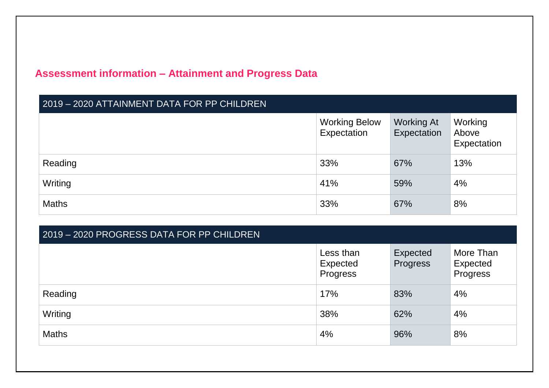# **Assessment information – Attainment and Progress Data**

| 2019 - 2020 ATTAINMENT DATA FOR PP CHILDREN |                                     |                                  |                                 |
|---------------------------------------------|-------------------------------------|----------------------------------|---------------------------------|
|                                             | <b>Working Below</b><br>Expectation | <b>Working At</b><br>Expectation | Working<br>Above<br>Expectation |
| Reading                                     | 33%                                 | 67%                              | 13%                             |
| Writing                                     | 41%                                 | 59%                              | 4%                              |
| <b>Maths</b>                                | 33%                                 | 67%                              | 8%                              |

| 2019 - 2020 PROGRESS DATA FOR PP CHILDREN |                                   |                      |                                   |  |  |
|-------------------------------------------|-----------------------------------|----------------------|-----------------------------------|--|--|
|                                           | Less than<br>Expected<br>Progress | Expected<br>Progress | More Than<br>Expected<br>Progress |  |  |
| Reading                                   | 17%                               | 83%                  | 4%                                |  |  |
| Writing                                   | 38%                               | 62%                  | 4%                                |  |  |
| <b>Maths</b>                              | 4%                                | 96%                  | 8%                                |  |  |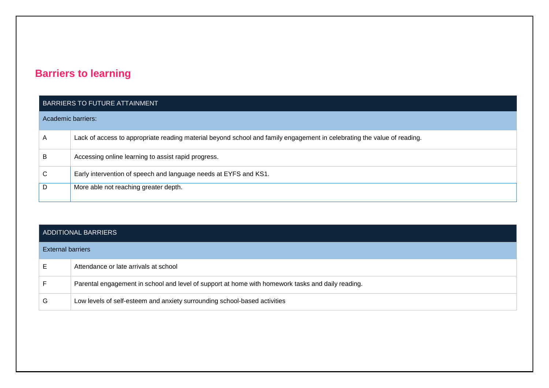## **Barriers to learning**

#### BARRIERS TO FUTURE ATTAINMENT

|  | Academic barriers: |  |
|--|--------------------|--|
|  |                    |  |
|  |                    |  |

| A | Lack of access to appropriate reading material beyond school and family engagement in celebrating the value of reading. |
|---|-------------------------------------------------------------------------------------------------------------------------|
| B | Accessing online learning to assist rapid progress.                                                                     |
| С | Early intervention of speech and language needs at EYFS and KS1.                                                        |
| D | More able not reaching greater depth.                                                                                   |

#### ADDITIONAL BARRIERS

| <b>External barriers</b> |                                                                                                   |
|--------------------------|---------------------------------------------------------------------------------------------------|
|                          | Attendance or late arrivals at school                                                             |
|                          | Parental engagement in school and level of support at home with homework tasks and daily reading. |
| G                        | Low levels of self-esteem and anxiety surrounding school-based activities                         |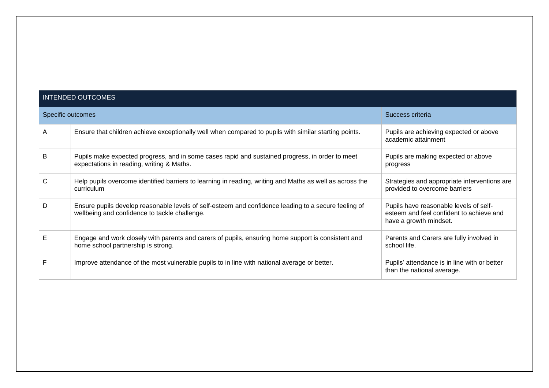#### INTENDED OUTCOMES

|   | Specific outcomes                                                                                                                                     | Success criteria                                                                                             |
|---|-------------------------------------------------------------------------------------------------------------------------------------------------------|--------------------------------------------------------------------------------------------------------------|
| A | Ensure that children achieve exceptionally well when compared to pupils with similar starting points.                                                 | Pupils are achieving expected or above<br>academic attainment                                                |
| B | Pupils make expected progress, and in some cases rapid and sustained progress, in order to meet<br>expectations in reading, writing & Maths.          | Pupils are making expected or above<br>progress                                                              |
| C | Help pupils overcome identified barriers to learning in reading, writing and Maths as well as across the<br>curriculum                                | Strategies and appropriate interventions are<br>provided to overcome barriers                                |
| D | Ensure pupils develop reasonable levels of self-esteem and confidence leading to a secure feeling of<br>wellbeing and confidence to tackle challenge. | Pupils have reasonable levels of self-<br>esteem and feel confident to achieve and<br>have a growth mindset. |
| Е | Engage and work closely with parents and carers of pupils, ensuring home support is consistent and<br>home school partnership is strong.              | Parents and Carers are fully involved in<br>school life.                                                     |
|   | Improve attendance of the most vulnerable pupils to in line with national average or better.                                                          | Pupils' attendance is in line with or better<br>than the national average.                                   |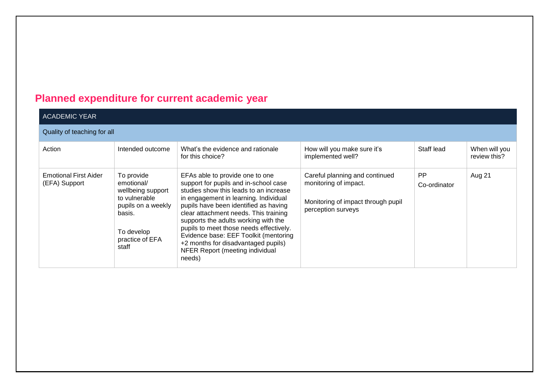# **Planned expenditure for current academic year**

| <b>ACADEMIC YEAR</b>                          |                                                                                                                                          |                                                                                                                                                                                                                                                                                                                                                                                                                                                               |                                                                                                                     |                           |                               |
|-----------------------------------------------|------------------------------------------------------------------------------------------------------------------------------------------|---------------------------------------------------------------------------------------------------------------------------------------------------------------------------------------------------------------------------------------------------------------------------------------------------------------------------------------------------------------------------------------------------------------------------------------------------------------|---------------------------------------------------------------------------------------------------------------------|---------------------------|-------------------------------|
| Quality of teaching for all                   |                                                                                                                                          |                                                                                                                                                                                                                                                                                                                                                                                                                                                               |                                                                                                                     |                           |                               |
| Action                                        | Intended outcome                                                                                                                         | What's the evidence and rationale<br>for this choice?                                                                                                                                                                                                                                                                                                                                                                                                         | How will you make sure it's<br>implemented well?                                                                    | Staff lead                | When will you<br>review this? |
| <b>Emotional First Aider</b><br>(EFA) Support | To provide<br>emotional/<br>wellbeing support<br>to vulnerable<br>pupils on a weekly<br>basis.<br>To develop<br>practice of EFA<br>staff | EFAs able to provide one to one<br>support for pupils and in-school case<br>studies show this leads to an increase<br>in engagement in learning. Individual<br>pupils have been identified as having<br>clear attachment needs. This training<br>supports the adults working with the<br>pupils to meet those needs effectively.<br>Evidence base: EEF Toolkit (mentoring<br>+2 months for disadvantaged pupils)<br>NFER Report (meeting individual<br>needs) | Careful planning and continued<br>monitoring of impact.<br>Monitoring of impact through pupil<br>perception surveys | <b>PP</b><br>Co-ordinator | Aug 21                        |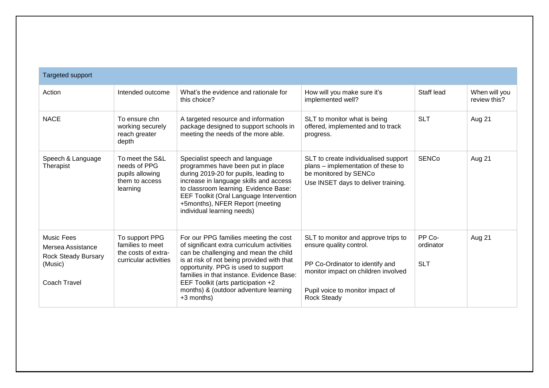| <b>Targeted support</b>                                                                         |                                                                                    |                                                                                                                                                                                                                                                                                                                                                               |                                                                                                                                                                                                    |                                   |                               |
|-------------------------------------------------------------------------------------------------|------------------------------------------------------------------------------------|---------------------------------------------------------------------------------------------------------------------------------------------------------------------------------------------------------------------------------------------------------------------------------------------------------------------------------------------------------------|----------------------------------------------------------------------------------------------------------------------------------------------------------------------------------------------------|-----------------------------------|-------------------------------|
| Action                                                                                          | Intended outcome                                                                   | What's the evidence and rationale for<br>this choice?                                                                                                                                                                                                                                                                                                         | How will you make sure it's<br>implemented well?                                                                                                                                                   | Staff lead                        | When will you<br>review this? |
| <b>NACE</b>                                                                                     | To ensure chn<br>working securely<br>reach greater<br>depth                        | A targeted resource and information<br>package designed to support schools in<br>meeting the needs of the more able.                                                                                                                                                                                                                                          | SLT to monitor what is being<br>offered, implemented and to track<br>progress.                                                                                                                     | <b>SLT</b>                        | Aug 21                        |
| Speech & Language<br>Therapist                                                                  | To meet the S&L<br>needs of PPG<br>pupils allowing<br>them to access<br>learning   | Specialist speech and language<br>programmes have been put in place<br>during 2019-20 for pupils, leading to<br>increase in language skills and access<br>to classroom learning. Evidence Base:<br>EEF Toolkit (Oral Language Intervention<br>+5months), NFER Report (meeting<br>individual learning needs)                                                   | SLT to create individualised support<br>plans - implementation of these to<br>be monitored by SENCo<br>Use INSET days to deliver training.                                                         | <b>SENCo</b>                      | Aug 21                        |
| <b>Music Fees</b><br>Mersea Assistance<br><b>Rock Steady Bursary</b><br>(Music)<br>Coach Travel | To support PPG<br>families to meet<br>the costs of extra-<br>curricular activities | For our PPG families meeting the cost<br>of significant extra curriculum activities<br>can be challenging and mean the child<br>is at risk of not being provided with that<br>opportunity. PPG is used to support<br>families in that instance. Evidence Base:<br>EEF Toolkit (arts participation +2<br>months) & (outdoor adventure learning<br>$+3$ months) | SLT to monitor and approve trips to<br>ensure quality control.<br>PP Co-Ordinator to identify and<br>monitor impact on children involved<br>Pupil voice to monitor impact of<br><b>Rock Steady</b> | PP Co-<br>ordinator<br><b>SLT</b> | Aug 21                        |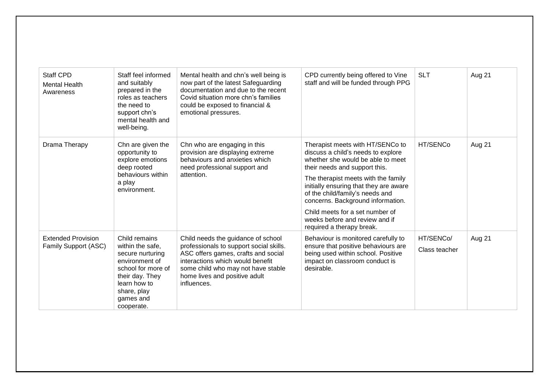| <b>Staff CPD</b><br><b>Mental Health</b><br>Awareness | Staff feel informed<br>and suitably<br>prepared in the<br>roles as teachers<br>the need to<br>support chn's<br>mental health and<br>well-being.                            | Mental health and chn's well being is<br>now part of the latest Safeguarding<br>documentation and due to the recent<br>Covid situation more chn's families<br>could be exposed to financial &<br>emotional pressures.                          | CPD currently being offered to Vine<br>staff and will be funded through PPG                                                                                                                                                                                                                                                                                                                             | <b>SLT</b>                 | Aug 21 |
|-------------------------------------------------------|----------------------------------------------------------------------------------------------------------------------------------------------------------------------------|------------------------------------------------------------------------------------------------------------------------------------------------------------------------------------------------------------------------------------------------|---------------------------------------------------------------------------------------------------------------------------------------------------------------------------------------------------------------------------------------------------------------------------------------------------------------------------------------------------------------------------------------------------------|----------------------------|--------|
| Drama Therapy                                         | Chn are given the<br>opportunity to<br>explore emotions<br>deep rooted<br>behaviours within<br>a play<br>environment.                                                      | Chn who are engaging in this<br>provision are displaying extreme<br>behaviours and anxieties which<br>need professional support and<br>attention.                                                                                              | Therapist meets with HT/SENCo to<br>discuss a child's needs to explore<br>whether she would be able to meet<br>their needs and support this.<br>The therapist meets with the family<br>initially ensuring that they are aware<br>of the child/family's needs and<br>concerns. Background information.<br>Child meets for a set number of<br>weeks before and review and if<br>required a therapy break. | HT/SENCo                   | Aug 21 |
| <b>Extended Provision</b><br>Family Support (ASC)     | Child remains<br>within the safe,<br>secure nurturing<br>environment of<br>school for more of<br>their day. They<br>learn how to<br>share, play<br>games and<br>cooperate. | Child needs the guidance of school<br>professionals to support social skills.<br>ASC offers games, crafts and social<br>interactions which would benefit<br>some child who may not have stable<br>home lives and positive adult<br>influences. | Behaviour is monitored carefully to<br>ensure that positive behaviours are<br>being used within school. Positive<br>impact on classroom conduct is<br>desirable.                                                                                                                                                                                                                                        | HT/SENCo/<br>Class teacher | Aug 21 |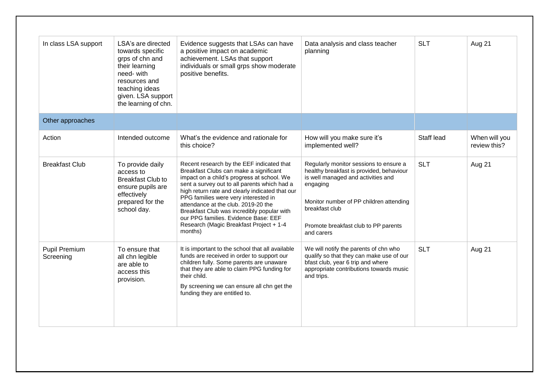| In class LSA support       | LSA's are directed<br>towards specific<br>grps of chn and<br>their learning<br>need-with<br>resources and<br>teaching ideas<br>given. LSA support<br>the learning of chn. | Evidence suggests that LSAs can have<br>a positive impact on academic<br>achievement. LSAs that support<br>individuals or small grps show moderate<br>positive benefits.                                                                                                                                                                                                                                                                                        | Data analysis and class teacher<br>planning                                                                                                                                                                                                             | <b>SLT</b> | Aug 21                        |
|----------------------------|---------------------------------------------------------------------------------------------------------------------------------------------------------------------------|-----------------------------------------------------------------------------------------------------------------------------------------------------------------------------------------------------------------------------------------------------------------------------------------------------------------------------------------------------------------------------------------------------------------------------------------------------------------|---------------------------------------------------------------------------------------------------------------------------------------------------------------------------------------------------------------------------------------------------------|------------|-------------------------------|
| Other approaches           |                                                                                                                                                                           |                                                                                                                                                                                                                                                                                                                                                                                                                                                                 |                                                                                                                                                                                                                                                         |            |                               |
| Action                     | Intended outcome                                                                                                                                                          | What's the evidence and rationale for<br>this choice?                                                                                                                                                                                                                                                                                                                                                                                                           | How will you make sure it's<br>implemented well?                                                                                                                                                                                                        | Staff lead | When will you<br>review this? |
| <b>Breakfast Club</b>      | To provide daily<br>access to<br><b>Breakfast Club to</b><br>ensure pupils are<br>effectively<br>prepared for the<br>school day.                                          | Recent research by the EEF indicated that<br>Breakfast Clubs can make a significant<br>impact on a child's progress at school. We<br>sent a survey out to all parents which had a<br>high return rate and clearly indicated that our<br>PPG families were very interested in<br>attendance at the club. 2019-20 the<br>Breakfast Club was incredibly popular with<br>our PPG families. Evidence Base: EEF<br>Research (Magic Breakfast Project + 1-4<br>months) | Regularly monitor sessions to ensure a<br>healthy breakfast is provided, behaviour<br>is well managed and activities and<br>engaging<br>Monitor number of PP children attending<br>breakfast club<br>Promote breakfast club to PP parents<br>and carers | <b>SLT</b> | Aug 21                        |
| Pupil Premium<br>Screening | To ensure that<br>all chn legible<br>are able to<br>access this<br>provision.                                                                                             | It is important to the school that all available<br>funds are received in order to support our<br>children fully. Some parents are unaware<br>that they are able to claim PPG funding for<br>their child.<br>By screening we can ensure all chn get the<br>funding they are entitled to.                                                                                                                                                                        | We will notify the parents of chn who<br>qualify so that they can make use of our<br>bfast club, year 6 trip and where<br>appropriate contributions towards music<br>and trips.                                                                         | <b>SLT</b> | Aug 21                        |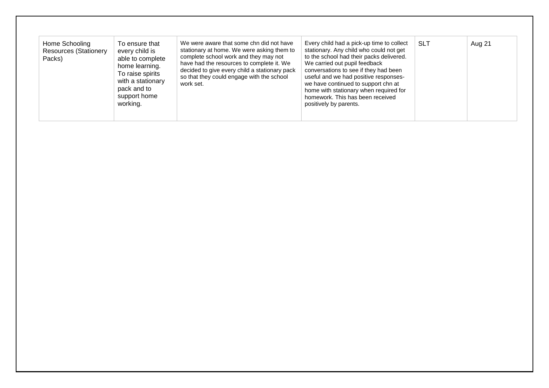| We were aware that some chn did not have<br>Home Schooling<br>To ensure that<br>stationary at home. We were asking them to<br><b>Resources (Stationery</b><br>every child is<br>complete school work and they may not<br>Packs)<br>able to complete<br>have had the resources to complete it. We<br>home learning.<br>decided to give every child a stationary pack<br>To raise spirits<br>so that they could engage with the school<br>with a stationary<br>work set.<br>pack and to<br>support home<br>working. | Every child had a pick-up time to collect<br>stationary. Any child who could not get<br>to the school had their packs delivered.<br>We carried out pupil feedback<br>conversations to see if they had been<br>useful and we had positive responses-<br>we have continued to support chn at<br>home with stationary when required for<br>homework. This has been received<br>positively by parents. | <b>SLT</b> | Aug 21 |
|-------------------------------------------------------------------------------------------------------------------------------------------------------------------------------------------------------------------------------------------------------------------------------------------------------------------------------------------------------------------------------------------------------------------------------------------------------------------------------------------------------------------|----------------------------------------------------------------------------------------------------------------------------------------------------------------------------------------------------------------------------------------------------------------------------------------------------------------------------------------------------------------------------------------------------|------------|--------|
|-------------------------------------------------------------------------------------------------------------------------------------------------------------------------------------------------------------------------------------------------------------------------------------------------------------------------------------------------------------------------------------------------------------------------------------------------------------------------------------------------------------------|----------------------------------------------------------------------------------------------------------------------------------------------------------------------------------------------------------------------------------------------------------------------------------------------------------------------------------------------------------------------------------------------------|------------|--------|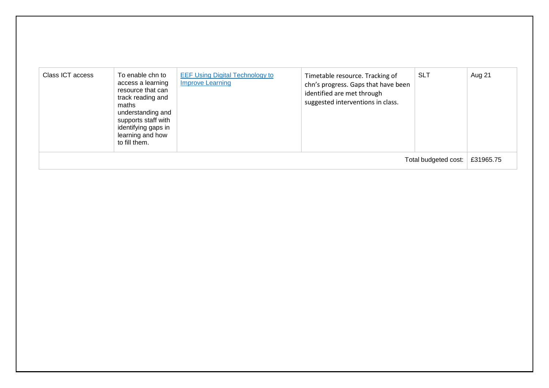| Class ICT access     | To enable chn to<br>access a learning<br>resource that can<br>track reading and<br>maths<br>understanding and<br>supports staff with<br>identifying gaps in<br>learning and how<br>to fill them. | <b>EEF Using Digital Technology to</b><br><b>Improve Learning</b> | Timetable resource. Tracking of<br>chn's progress. Gaps that have been<br>identified are met through<br>suggested interventions in class. | <b>SLT</b> | Aug 21    |
|----------------------|--------------------------------------------------------------------------------------------------------------------------------------------------------------------------------------------------|-------------------------------------------------------------------|-------------------------------------------------------------------------------------------------------------------------------------------|------------|-----------|
| Total budgeted cost: |                                                                                                                                                                                                  |                                                                   |                                                                                                                                           |            | £31965.75 |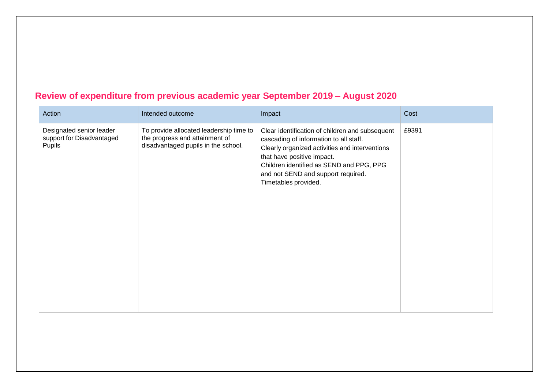### **Review of expenditure from previous academic year September 2019 – August 2020**

| Action                                                          | Intended outcome                                                                                                 | Impact                                                                                                                                                                                                                                                                              | Cost  |
|-----------------------------------------------------------------|------------------------------------------------------------------------------------------------------------------|-------------------------------------------------------------------------------------------------------------------------------------------------------------------------------------------------------------------------------------------------------------------------------------|-------|
| Designated senior leader<br>support for Disadvantaged<br>Pupils | To provide allocated leadership time to<br>the progress and attainment of<br>disadvantaged pupils in the school. | Clear identification of children and subsequent<br>cascading of information to all staff.<br>Clearly organized activities and interventions<br>that have positive impact.<br>Children identified as SEND and PPG, PPG<br>and not SEND and support required.<br>Timetables provided. | £9391 |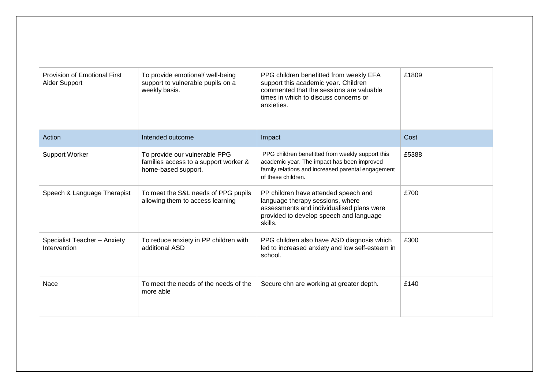| Provision of Emotional First<br>Aider Support | To provide emotional/ well-being<br>support to vulnerable pupils on a<br>weekly basis.        | PPG children benefitted from weekly EFA<br>support this academic year. Children<br>commented that the sessions are valuable<br>times in which to discuss concerns or<br>anxieties. | £1809 |
|-----------------------------------------------|-----------------------------------------------------------------------------------------------|------------------------------------------------------------------------------------------------------------------------------------------------------------------------------------|-------|
| Action                                        | Intended outcome                                                                              | Impact                                                                                                                                                                             | Cost  |
| <b>Support Worker</b>                         | To provide our vulnerable PPG<br>families access to a support worker &<br>home-based support. | PPG children benefitted from weekly support this<br>academic year. The impact has been improved<br>family relations and increased parental engagement<br>of these children.        | £5388 |
| Speech & Language Therapist                   | To meet the S&L needs of PPG pupils<br>allowing them to access learning                       | PP children have attended speech and<br>language therapy sessions, where<br>assessments and individualised plans were<br>provided to develop speech and language<br>skills.        | £700  |
| Specialist Teacher - Anxiety<br>Intervention  | To reduce anxiety in PP children with<br>additional ASD                                       | PPG children also have ASD diagnosis which<br>led to increased anxiety and low self-esteem in<br>school.                                                                           | £300  |
| Nace                                          | To meet the needs of the needs of the<br>more able                                            | Secure chn are working at greater depth.                                                                                                                                           | £140  |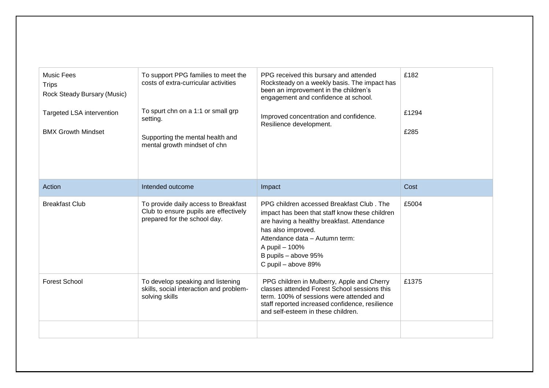| <b>Music Fees</b><br><b>Trips</b><br>Rock Steady Bursary (Music)<br><b>Targeted LSA intervention</b><br><b>BMX Growth Mindset</b> | To support PPG families to meet the<br>costs of extra-curricular activities<br>To spurt chn on a 1:1 or small grp<br>setting.<br>Supporting the mental health and<br>mental growth mindset of chn | PPG received this bursary and attended<br>Rocksteady on a weekly basis. The impact has<br>been an improvement in the children's<br>engagement and confidence at school.<br>Improved concentration and confidence.<br>Resilience development.                       | £182<br>£1294<br>£285 |
|-----------------------------------------------------------------------------------------------------------------------------------|---------------------------------------------------------------------------------------------------------------------------------------------------------------------------------------------------|--------------------------------------------------------------------------------------------------------------------------------------------------------------------------------------------------------------------------------------------------------------------|-----------------------|
| Action                                                                                                                            | Intended outcome                                                                                                                                                                                  | Impact                                                                                                                                                                                                                                                             | Cost                  |
| <b>Breakfast Club</b>                                                                                                             | To provide daily access to Breakfast<br>Club to ensure pupils are effectively<br>prepared for the school day.                                                                                     | PPG children accessed Breakfast Club, The<br>impact has been that staff know these children<br>are having a healthy breakfast. Attendance<br>has also improved.<br>Attendance data - Autumn term:<br>A pupil - 100%<br>B pupils - above 95%<br>C pupil - above 89% | £5004                 |
| <b>Forest School</b>                                                                                                              | To develop speaking and listening<br>skills, social interaction and problem-<br>solving skills                                                                                                    | PPG children in Mulberry, Apple and Cherry<br>classes attended Forest School sessions this<br>term. 100% of sessions were attended and<br>staff reported increased confidence, resilience<br>and self-esteem in these children.                                    | £1375                 |